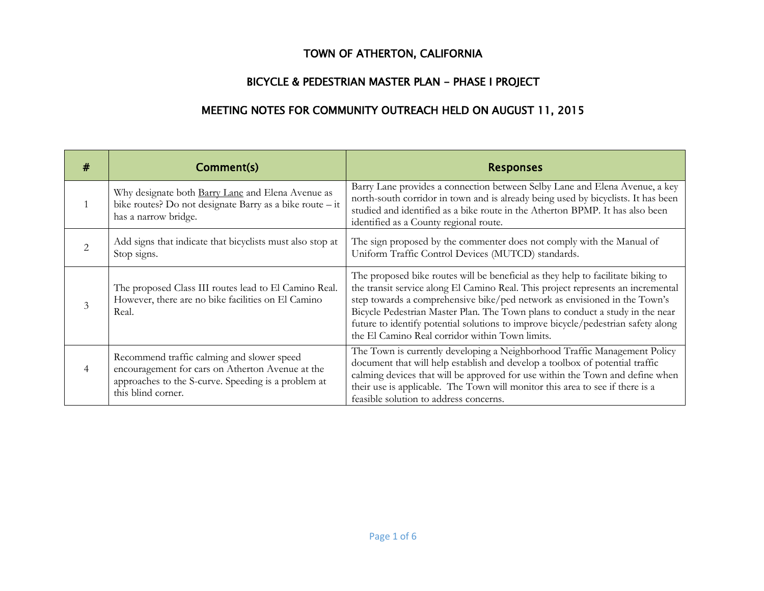## TOWN OF ATHERTON, CALIFORNIA

## BICYCLE & PEDESTRIAN MASTER PLAN - PHASE I PROJECT

## MEETING NOTES FOR COMMUNITY OUTREACH HELD ON AUGUST 11, 2015

| #                             | Comment(s)                                                                                                                                                                  | <b>Responses</b>                                                                                                                                                                                                                                                                                                                                                                                                                                                           |
|-------------------------------|-----------------------------------------------------------------------------------------------------------------------------------------------------------------------------|----------------------------------------------------------------------------------------------------------------------------------------------------------------------------------------------------------------------------------------------------------------------------------------------------------------------------------------------------------------------------------------------------------------------------------------------------------------------------|
|                               | Why designate both <b>Barry Lane</b> and Elena Avenue as<br>bike routes? Do not designate Barry as a bike route - it<br>has a narrow bridge.                                | Barry Lane provides a connection between Selby Lane and Elena Avenue, a key<br>north-south corridor in town and is already being used by bicyclists. It has been<br>studied and identified as a bike route in the Atherton BPMP. It has also been<br>identified as a County regional route.                                                                                                                                                                                |
| $\mathfrak{D}_{\mathfrak{p}}$ | Add signs that indicate that bicyclists must also stop at<br>Stop signs.                                                                                                    | The sign proposed by the commenter does not comply with the Manual of<br>Uniform Traffic Control Devices (MUTCD) standards.                                                                                                                                                                                                                                                                                                                                                |
| 3                             | The proposed Class III routes lead to El Camino Real.<br>However, there are no bike facilities on El Camino<br>Real.                                                        | The proposed bike routes will be beneficial as they help to facilitate biking to<br>the transit service along El Camino Real. This project represents an incremental<br>step towards a comprehensive bike/ped network as envisioned in the Town's<br>Bicycle Pedestrian Master Plan. The Town plans to conduct a study in the near<br>future to identify potential solutions to improve bicycle/pedestrian safety along<br>the El Camino Real corridor within Town limits. |
| 4                             | Recommend traffic calming and slower speed<br>encouragement for cars on Atherton Avenue at the<br>approaches to the S-curve. Speeding is a problem at<br>this blind corner. | The Town is currently developing a Neighborhood Traffic Management Policy<br>document that will help establish and develop a toolbox of potential traffic<br>calming devices that will be approved for use within the Town and define when<br>their use is applicable. The Town will monitor this area to see if there is a<br>feasible solution to address concerns.                                                                                                      |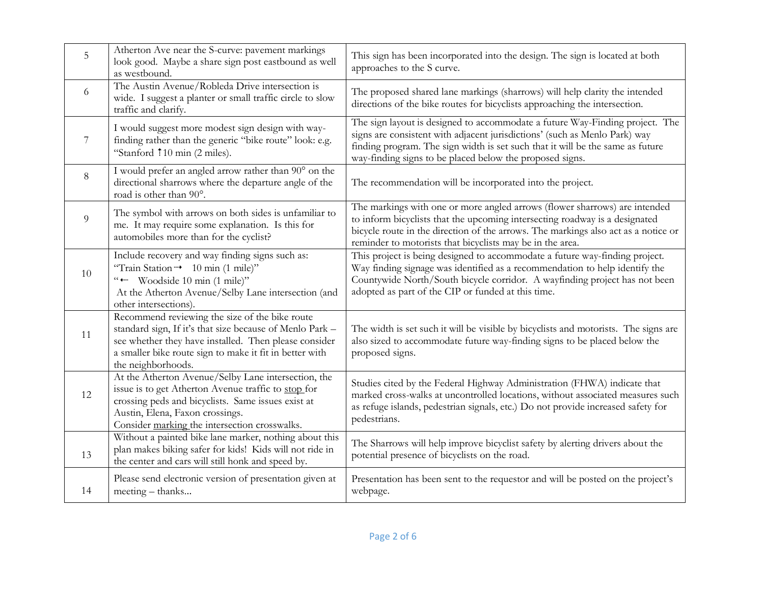| 5     | Atherton Ave near the S-curve: pavement markings<br>look good. Maybe a share sign post eastbound as well<br>as westbound.                                                                                                                            | This sign has been incorporated into the design. The sign is located at both<br>approaches to the S curve.                                                                                                                                                                                                   |
|-------|------------------------------------------------------------------------------------------------------------------------------------------------------------------------------------------------------------------------------------------------------|--------------------------------------------------------------------------------------------------------------------------------------------------------------------------------------------------------------------------------------------------------------------------------------------------------------|
| 6     | The Austin Avenue/Robleda Drive intersection is<br>wide. I suggest a planter or small traffic circle to slow<br>traffic and clarify.                                                                                                                 | The proposed shared lane markings (sharrows) will help clarity the intended<br>directions of the bike routes for bicyclists approaching the intersection.                                                                                                                                                    |
| 7     | I would suggest more modest sign design with way-<br>finding rather than the generic "bike route" look: e.g.<br>"Stanford 10 min (2 miles).                                                                                                          | The sign layout is designed to accommodate a future Way-Finding project. The<br>signs are consistent with adjacent jurisdictions' (such as Menlo Park) way<br>finding program. The sign width is set such that it will be the same as future<br>way-finding signs to be placed below the proposed signs.     |
| $8\,$ | I would prefer an angled arrow rather than 90° on the<br>directional sharrows where the departure angle of the<br>road is other than 90°.                                                                                                            | The recommendation will be incorporated into the project.                                                                                                                                                                                                                                                    |
| 9     | The symbol with arrows on both sides is unfamiliar to<br>me. It may require some explanation. Is this for<br>automobiles more than for the cyclist?                                                                                                  | The markings with one or more angled arrows (flower sharrows) are intended<br>to inform bicyclists that the upcoming intersecting roadway is a designated<br>bicycle route in the direction of the arrows. The markings also act as a notice or<br>reminder to motorists that bicyclists may be in the area. |
| 10    | Include recovery and way finding signs such as:<br>"Train Station"> 10 min (1 mile)"<br>" Woodside 10 min (1 mile)"<br>At the Atherton Avenue/Selby Lane intersection (and<br>other intersections).                                                  | This project is being designed to accommodate a future way-finding project.<br>Way finding signage was identified as a recommendation to help identify the<br>Countywide North/South bicycle corridor. A wayfinding project has not been<br>adopted as part of the CIP or funded at this time.               |
| 11    | Recommend reviewing the size of the bike route<br>standard sign, If it's that size because of Menlo Park -<br>see whether they have installed. Then please consider<br>a smaller bike route sign to make it fit in better with<br>the neighborhoods. | The width is set such it will be visible by bicyclists and motorists. The signs are<br>also sized to accommodate future way-finding signs to be placed below the<br>proposed signs.                                                                                                                          |
| 12    | At the Atherton Avenue/Selby Lane intersection, the<br>issue is to get Atherton Avenue traffic to stop for<br>crossing peds and bicyclists. Same issues exist at<br>Austin, Elena, Faxon crossings.<br>Consider marking the intersection crosswalks. | Studies cited by the Federal Highway Administration (FHWA) indicate that<br>marked cross-walks at uncontrolled locations, without associated measures such<br>as refuge islands, pedestrian signals, etc.) Do not provide increased safety for<br>pedestrians.                                               |
| 13    | Without a painted bike lane marker, nothing about this<br>plan makes biking safer for kids! Kids will not ride in<br>the center and cars will still honk and speed by.                                                                               | The Sharrows will help improve bicyclist safety by alerting drivers about the<br>potential presence of bicyclists on the road.                                                                                                                                                                               |
| 14    | Please send electronic version of presentation given at<br>meeting – thanks                                                                                                                                                                          | Presentation has been sent to the requestor and will be posted on the project's<br>webpage.                                                                                                                                                                                                                  |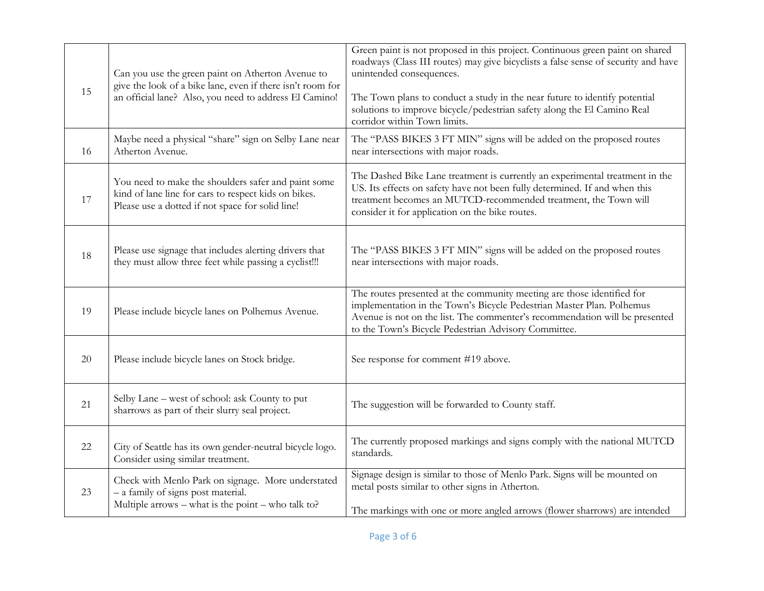| 15 | Can you use the green paint on Atherton Avenue to<br>give the look of a bike lane, even if there isn't room for                                                 | Green paint is not proposed in this project. Continuous green paint on shared<br>roadways (Class III routes) may give bicyclists a false sense of security and have<br>unintended consequences.                                                                                        |
|----|-----------------------------------------------------------------------------------------------------------------------------------------------------------------|----------------------------------------------------------------------------------------------------------------------------------------------------------------------------------------------------------------------------------------------------------------------------------------|
|    | an official lane? Also, you need to address El Camino!                                                                                                          | The Town plans to conduct a study in the near future to identify potential<br>solutions to improve bicycle/pedestrian safety along the El Camino Real<br>corridor within Town limits.                                                                                                  |
| 16 | Maybe need a physical "share" sign on Selby Lane near<br>Atherton Avenue.                                                                                       | The "PASS BIKES 3 FT MIN" signs will be added on the proposed routes<br>near intersections with major roads.                                                                                                                                                                           |
| 17 | You need to make the shoulders safer and paint some<br>kind of lane line for cars to respect kids on bikes.<br>Please use a dotted if not space for solid line! | The Dashed Bike Lane treatment is currently an experimental treatment in the<br>US. Its effects on safety have not been fully determined. If and when this<br>treatment becomes an MUTCD-recommended treatment, the Town will<br>consider it for application on the bike routes.       |
| 18 | Please use signage that includes alerting drivers that<br>they must allow three feet while passing a cyclist!!!                                                 | The "PASS BIKES 3 FT MIN" signs will be added on the proposed routes<br>near intersections with major roads.                                                                                                                                                                           |
| 19 | Please include bicycle lanes on Polhemus Avenue.                                                                                                                | The routes presented at the community meeting are those identified for<br>implementation in the Town's Bicycle Pedestrian Master Plan. Polhemus<br>Avenue is not on the list. The commenter's recommendation will be presented<br>to the Town's Bicycle Pedestrian Advisory Committee. |
| 20 | Please include bicycle lanes on Stock bridge.                                                                                                                   | See response for comment #19 above.                                                                                                                                                                                                                                                    |
| 21 | Selby Lane - west of school: ask County to put<br>sharrows as part of their slurry seal project.                                                                | The suggestion will be forwarded to County staff.                                                                                                                                                                                                                                      |
| 22 | City of Seattle has its own gender-neutral bicycle logo.<br>Consider using similar treatment.                                                                   | The currently proposed markings and signs comply with the national MUTCD<br>standards.                                                                                                                                                                                                 |
| 23 | Check with Menlo Park on signage. More understated<br>- a family of signs post material.<br>Multiple arrows – what is the point – who talk to?                  | Signage design is similar to those of Menlo Park. Signs will be mounted on<br>metal posts similar to other signs in Atherton.<br>The markings with one or more angled arrows (flower sharrows) are intended                                                                            |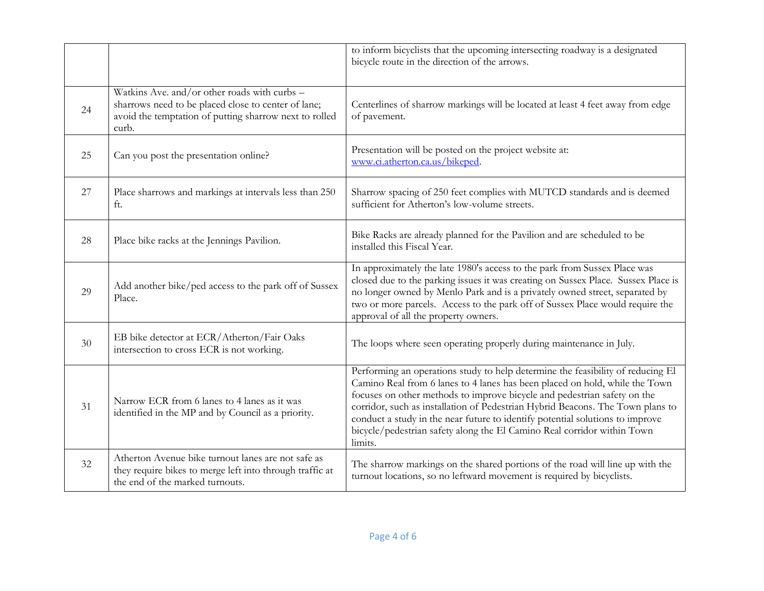|    |                                                                                                                                                                        | to inform bicyclists that the upcoming intersecting roadway is a designated<br>bicycle route in the direction of the arrows.                                                                                                                                                                                                                                                                                                                                                                        |
|----|------------------------------------------------------------------------------------------------------------------------------------------------------------------------|-----------------------------------------------------------------------------------------------------------------------------------------------------------------------------------------------------------------------------------------------------------------------------------------------------------------------------------------------------------------------------------------------------------------------------------------------------------------------------------------------------|
| 24 | Watkins Ave. and/or other roads with curbs -<br>sharrows need to be placed close to center of lane;<br>avoid the temptation of putting sharrow next to rolled<br>curb. | Centerlines of sharrow markings will be located at least 4 feet away from edge<br>of pavement.                                                                                                                                                                                                                                                                                                                                                                                                      |
| 25 | Can you post the presentation online?                                                                                                                                  | Presentation will be posted on the project website at:<br>www.ci.atherton.ca.us/bikeped.                                                                                                                                                                                                                                                                                                                                                                                                            |
| 27 | Place sharrows and markings at intervals less than 250<br>ft.                                                                                                          | Sharrow spacing of 250 feet complies with MUTCD standards and is deemed<br>sufficient for Atherton's low-volume streets.                                                                                                                                                                                                                                                                                                                                                                            |
| 28 | Place bike racks at the Jennings Pavilion.                                                                                                                             | Bike Racks are already planned for the Pavilion and are scheduled to be<br>installed this Fiscal Year.                                                                                                                                                                                                                                                                                                                                                                                              |
| 29 | Add another bike/ped access to the park off of Sussex<br>Place.                                                                                                        | In approximately the late 1980's access to the park from Sussex Place was<br>closed due to the parking issues it was creating on Sussex Place. Sussex Place is<br>no longer owned by Menlo Park and is a privately owned street, separated by<br>two or more parcels. Access to the park off of Sussex Place would require the<br>approval of all the property owners.                                                                                                                              |
| 30 | EB bike detector at ECR/Atherton/Fair Oaks<br>intersection to cross ECR is not working.                                                                                | The loops where seen operating properly during maintenance in July.                                                                                                                                                                                                                                                                                                                                                                                                                                 |
| 31 | Narrow ECR from 6 lanes to 4 lanes as it was<br>identified in the MP and by Council as a priority.                                                                     | Performing an operations study to help determine the feasibility of reducing El<br>Camino Real from 6 lanes to 4 lanes has been placed on hold, while the Town<br>focuses on other methods to improve bicycle and pedestrian safety on the<br>corridor, such as installation of Pedestrian Hybrid Beacons. The Town plans to<br>conduct a study in the near future to identify potential solutions to improve<br>bicycle/pedestrian safety along the El Camino Real corridor within Town<br>limits. |
| 32 | Atherton Avenue bike turnout lanes are not safe as<br>they require bikes to merge left into through traffic at<br>the end of the marked turnouts.                      | The sharrow markings on the shared portions of the road will line up with the<br>turnout locations, so no leftward movement is required by bicyclists.                                                                                                                                                                                                                                                                                                                                              |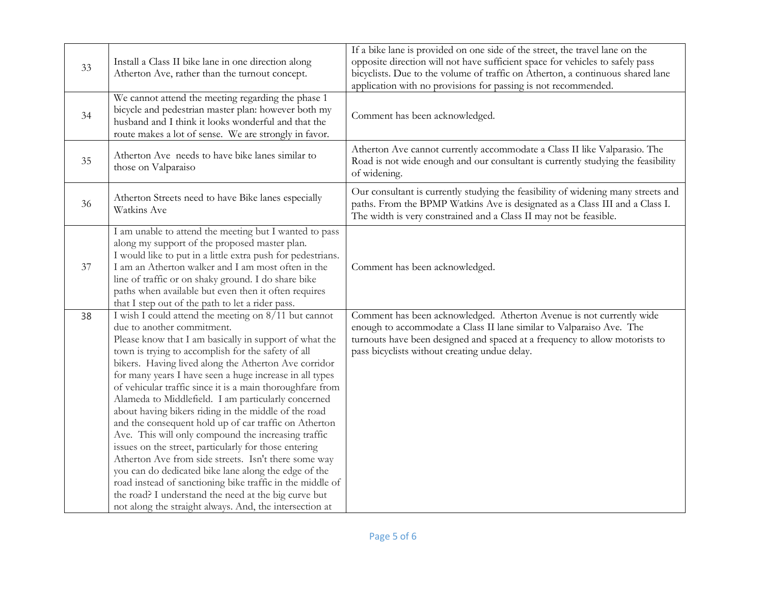| 33 | Install a Class II bike lane in one direction along<br>Atherton Ave, rather than the turnout concept.                                                                                                                                                                                                                                                                                                                                                                                                                                                                                                                                                                                                                                                                                                                                                                                                                                                                      | If a bike lane is provided on one side of the street, the travel lane on the<br>opposite direction will not have sufficient space for vehicles to safely pass<br>bicyclists. Due to the volume of traffic on Atherton, a continuous shared lane<br>application with no provisions for passing is not recommended. |
|----|----------------------------------------------------------------------------------------------------------------------------------------------------------------------------------------------------------------------------------------------------------------------------------------------------------------------------------------------------------------------------------------------------------------------------------------------------------------------------------------------------------------------------------------------------------------------------------------------------------------------------------------------------------------------------------------------------------------------------------------------------------------------------------------------------------------------------------------------------------------------------------------------------------------------------------------------------------------------------|-------------------------------------------------------------------------------------------------------------------------------------------------------------------------------------------------------------------------------------------------------------------------------------------------------------------|
| 34 | We cannot attend the meeting regarding the phase 1<br>bicycle and pedestrian master plan: however both my<br>husband and I think it looks wonderful and that the<br>route makes a lot of sense. We are strongly in favor.                                                                                                                                                                                                                                                                                                                                                                                                                                                                                                                                                                                                                                                                                                                                                  | Comment has been acknowledged.                                                                                                                                                                                                                                                                                    |
| 35 | Atherton Ave needs to have bike lanes similar to<br>those on Valparaiso                                                                                                                                                                                                                                                                                                                                                                                                                                                                                                                                                                                                                                                                                                                                                                                                                                                                                                    | Atherton Ave cannot currently accommodate a Class II like Valparasio. The<br>Road is not wide enough and our consultant is currently studying the feasibility<br>of widening.                                                                                                                                     |
| 36 | Atherton Streets need to have Bike lanes especially<br>Watkins Ave                                                                                                                                                                                                                                                                                                                                                                                                                                                                                                                                                                                                                                                                                                                                                                                                                                                                                                         | Our consultant is currently studying the feasibility of widening many streets and<br>paths. From the BPMP Watkins Ave is designated as a Class III and a Class I.<br>The width is very constrained and a Class II may not be feasible.                                                                            |
| 37 | I am unable to attend the meeting but I wanted to pass<br>along my support of the proposed master plan.<br>I would like to put in a little extra push for pedestrians.<br>I am an Atherton walker and I am most often in the<br>line of traffic or on shaky ground. I do share bike<br>paths when available but even then it often requires<br>that I step out of the path to let a rider pass.                                                                                                                                                                                                                                                                                                                                                                                                                                                                                                                                                                            | Comment has been acknowledged.                                                                                                                                                                                                                                                                                    |
| 38 | I wish I could attend the meeting on 8/11 but cannot<br>due to another commitment.<br>Please know that I am basically in support of what the<br>town is trying to accomplish for the safety of all<br>bikers. Having lived along the Atherton Ave corridor<br>for many years I have seen a huge increase in all types<br>of vehicular traffic since it is a main thoroughfare from<br>Alameda to Middlefield. I am particularly concerned<br>about having bikers riding in the middle of the road<br>and the consequent hold up of car traffic on Atherton<br>Ave. This will only compound the increasing traffic<br>issues on the street, particularly for those entering<br>Atherton Ave from side streets. Isn't there some way<br>you can do dedicated bike lane along the edge of the<br>road instead of sanctioning bike traffic in the middle of<br>the road? I understand the need at the big curve but<br>not along the straight always. And, the intersection at | Comment has been acknowledged. Atherton Avenue is not currently wide<br>enough to accommodate a Class II lane similar to Valparaiso Ave. The<br>turnouts have been designed and spaced at a frequency to allow motorists to<br>pass bicyclists without creating undue delay.                                      |